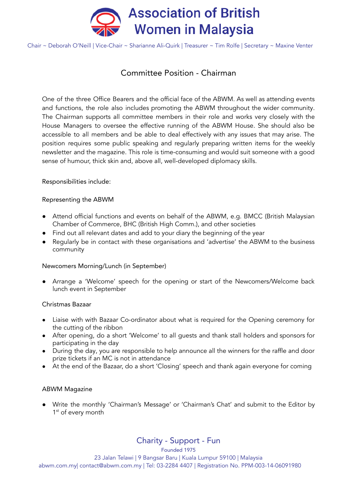

Chair ~ Deborah O'Neill | Vice-Chair ~ Sharianne Ali-Quirk | Treasurer ~ Tim Rolfe | Secretary ~ Maxine Venter

## Committee Position - Chairman

One of the three Office Bearers and the official face of the ABWM. As well as attending events and functions, the role also includes promoting the ABWM throughout the wider community. The Chairman supports all committee members in their role and works very closely with the House Managers to oversee the effective running of the ABWM House. She should also be accessible to all members and be able to deal effectively with any issues that may arise. The position requires some public speaking and regularly preparing written items for the weekly newsletter and the magazine. This role is time-consuming and would suit someone with a good sense of humour, thick skin and, above all, well-developed diplomacy skills.

Responsibilities include:

## Representing the ABWM

- Attend official functions and events on behalf of the ABWM, e.g. BMCC (British Malaysian Chamber of Commerce, BHC (British High Comm.), and other societies
- Find out all relevant dates and add to your diary the beginning of the year
- Regularly be in contact with these organisations and 'advertise' the ABWM to the business community

#### Newcomers Morning/Lunch (in September)

● Arrange a 'Welcome' speech for the opening or start of the Newcomers/Welcome back lunch event in September

#### Christmas Bazaar

- Liaise with with Bazaar Co-ordinator about what is required for the Opening ceremony for the cutting of the ribbon
- After opening, do a short 'Welcome' to all quests and thank stall holders and sponsors for participating in the day
- During the day, you are responsible to help announce all the winners for the raffle and door prize tickets if an MC is not in attendance
- At the end of the Bazaar, do a short 'Closing' speech and thank again everyone for coming

#### ABWM Magazine

● Write the monthly 'Chairman's Message' or 'Chairman's Chat' and submit to the Editor by 1<sup>st</sup> of every month

Charity - Support - Fun

Founded 1975

23 Jalan Telawi | 9 Bangsar Baru | Kuala Lumpur 59100 | Malaysia

abwm.com.my| contact@abwm.com.my | Tel: 03-2284 4407 | Registration No. PPM-003-14-06091980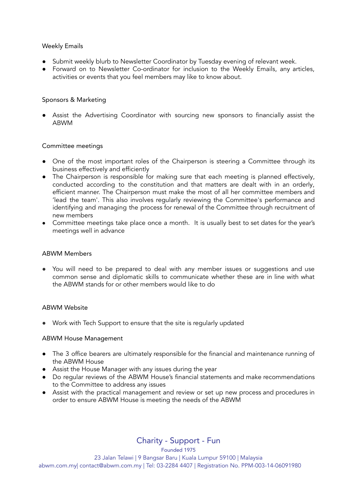#### Weekly Emails

- Submit weekly blurb to Newsletter Coordinator by Tuesday evening of relevant week.
- Forward on to Newsletter Co-ordinator for inclusion to the Weekly Emails, any articles, activities or events that you feel members may like to know about.

## Sponsors & Marketing

● Assist the Advertising Coordinator with sourcing new sponsors to financially assist the ABWM

## Committee meetings

- One of the most important roles of the Chairperson is steering a Committee through its business effectively and efficiently
- The Chairperson is responsible for making sure that each meeting is planned effectively, conducted according to the constitution and that matters are dealt with in an orderly, efficient manner. The Chairperson must make the most of all her committee members and 'lead the team'. This also involves regularly reviewing the Committee's performance and identifying and managing the process for renewal of the Committee through recruitment of new members
- Committee meetings take place once a month. It is usually best to set dates for the year's meetings well in advance

#### ABWM Members

● You will need to be prepared to deal with any member issues or suggestions and use common sense and diplomatic skills to communicate whether these are in line with what the ABWM stands for or other members would like to do

#### ABWM Website

● Work with Tech Support to ensure that the site is regularly updated

#### ABWM House Management

- The 3 office bearers are ultimately responsible for the financial and maintenance running of the ABWM House
- Assist the House Manager with any issues during the year
- Do regular reviews of the ABWM House's financial statements and make recommendations to the Committee to address any issues
- Assist with the practical management and review or set up new process and procedures in order to ensure ABWM House is meeting the needs of the ABWM

Charity - Support - Fun